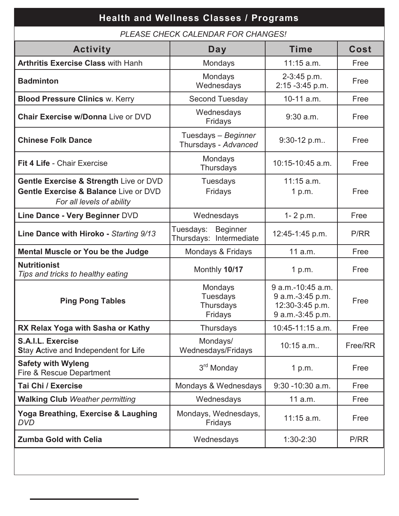| <b>Health and Wellness Classes / Programs</b>                                                                           |                                                         |                                                                              |             |  |  |
|-------------------------------------------------------------------------------------------------------------------------|---------------------------------------------------------|------------------------------------------------------------------------------|-------------|--|--|
| PLEASE CHECK CALENDAR FOR CHANGES!                                                                                      |                                                         |                                                                              |             |  |  |
| <b>Activity</b>                                                                                                         | Day                                                     | <b>Time</b>                                                                  | <b>Cost</b> |  |  |
| <b>Arthritis Exercise Class with Hanh</b>                                                                               | Mondays                                                 | $11:15$ a.m.                                                                 | Free        |  |  |
| <b>Badminton</b>                                                                                                        | Mondays<br>Wednesdays                                   | 2-3:45 p.m.<br>2:15 - 3:45 p.m.                                              | Free        |  |  |
| <b>Blood Pressure Clinics w. Kerry</b>                                                                                  | <b>Second Tuesday</b>                                   | 10-11 a.m.                                                                   | Free        |  |  |
| <b>Chair Exercise w/Donna Live or DVD</b>                                                                               | Wednesdays<br>Fridays                                   | $9:30$ a.m.                                                                  | Free        |  |  |
| <b>Chinese Folk Dance</b>                                                                                               | Tuesdays - Beginner<br>Thursdays - Advanced             | 9:30-12 p.m                                                                  | Free        |  |  |
| <b>Fit 4 Life - Chair Exercise</b>                                                                                      | Mondays<br>Thursdays                                    | 10:15-10:45 a.m.                                                             | Free        |  |  |
| Gentle Exercise & Strength Live or DVD<br><b>Gentle Exercise &amp; Balance Live or DVD</b><br>For all levels of ability | <b>Tuesdays</b><br>Fridays                              | $11:15$ a.m.<br>1 p.m.                                                       | Free        |  |  |
| Line Dance - Very Beginner DVD                                                                                          | Wednesdays                                              | 1-2 p.m.                                                                     | Free        |  |  |
| Line Dance with Hiroko - Starting 9/13                                                                                  | Tuesdays:<br><b>Beginner</b><br>Thursdays: Intermediate | 12:45-1:45 p.m.                                                              | P/RR        |  |  |
| <b>Mental Muscle or You be the Judge</b>                                                                                | Mondays & Fridays                                       | 11 a.m.                                                                      | Free        |  |  |
| <b>Nutritionist</b><br>Tips and tricks to healthy eating                                                                | Monthly 10/17                                           | 1 p.m.                                                                       | Free        |  |  |
| <b>Ping Pong Tables</b>                                                                                                 | Mondays<br><b>Tuesdays</b><br>Thursdays<br>Fridays      | 9 a.m.-10:45 a.m.<br>9 a.m.-3:45 p.m.<br>12:30-3:45 p.m.<br>9 a.m.-3:45 p.m. | Free        |  |  |
| RX Relax Yoga with Sasha or Kathy                                                                                       | Thursdays                                               | 10:45-11:15 a.m.                                                             | Free        |  |  |
| S.A.I.L. Exercise<br>Stay Active and Independent for Life                                                               | Mondays/<br>Wednesdays/Fridays                          | 10:15 a.m                                                                    | Free/RR     |  |  |
| <b>Safety with Wyleng</b><br>Fire & Rescue Department                                                                   | 3 <sup>rd</sup> Monday                                  | 1 p.m.                                                                       | Free        |  |  |
| Tai Chi / Exercise                                                                                                      | Mondays & Wednesdays                                    | $9:30 - 10:30$ a.m.                                                          | Free        |  |  |
| <b>Walking Club Weather permitting</b>                                                                                  | Wednesdays                                              | 11 a.m.                                                                      | Free        |  |  |
| Yoga Breathing, Exercise & Laughing<br><b>DVD</b>                                                                       | Mondays, Wednesdays,<br>Fridays                         | $11:15$ a.m.                                                                 | Free        |  |  |
| <b>Zumba Gold with Celia</b>                                                                                            | Wednesdays                                              | $1:30-2:30$                                                                  | P/RR        |  |  |
|                                                                                                                         |                                                         |                                                                              |             |  |  |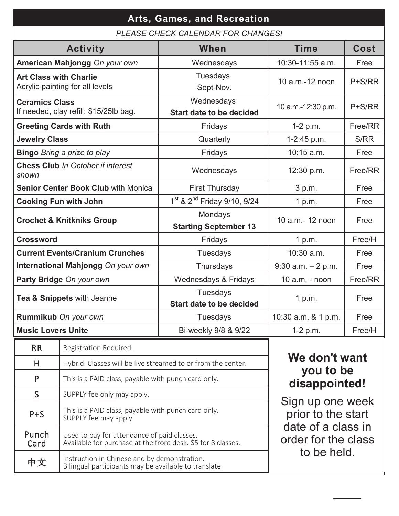| Arts, Games, and Recreation                                      |                                                                                                             |                                                     |                                                          |          |  |
|------------------------------------------------------------------|-------------------------------------------------------------------------------------------------------------|-----------------------------------------------------|----------------------------------------------------------|----------|--|
| PLEASE CHECK CALENDAR FOR CHANGES!                               |                                                                                                             |                                                     |                                                          |          |  |
|                                                                  | <b>Activity</b>                                                                                             | When                                                | <b>Time</b>                                              | Cost     |  |
|                                                                  | American Mahjongg On your own                                                                               | Wednesdays                                          | 10:30-11:55 a.m.                                         | Free     |  |
| <b>Art Class with Charlie</b><br>Acrylic painting for all levels |                                                                                                             | <b>Tuesdays</b><br>Sept-Nov.                        | 10 a.m.-12 noon                                          | P+S/RR   |  |
| <b>Ceramics Class</b>                                            | If needed, clay refill: \$15/25lb bag.                                                                      | Wednesdays<br><b>Start date to be decided</b>       | 10 a.m.-12:30 p.m.                                       | $P+S/RR$ |  |
|                                                                  | <b>Greeting Cards with Ruth</b>                                                                             | Fridays                                             | $1-2 p.m.$                                               | Free/RR  |  |
| <b>Jewelry Class</b>                                             |                                                                                                             | Quarterly                                           | 1-2:45 p.m.                                              | S/RR     |  |
|                                                                  | <b>Bingo</b> Bring a prize to play                                                                          | Fridays                                             | 10:15 a.m.                                               | Free     |  |
| shown                                                            | <b>Chess Club In October if interest</b>                                                                    | Wednesdays                                          | 12:30 p.m.                                               | Free/RR  |  |
|                                                                  | <b>Senior Center Book Club with Monica</b>                                                                  | <b>First Thursday</b>                               | 3 p.m.                                                   | Free     |  |
|                                                                  | <b>Cooking Fun with John</b>                                                                                | 1 <sup>st</sup> & 2 <sup>nd</sup> Friday 9/10, 9/24 | 1 p.m.                                                   | Free     |  |
| <b>Crochet &amp; Knitkniks Group</b>                             |                                                                                                             | Mondays<br><b>Starting September 13</b>             | 10 a.m.- 12 noon                                         | Free     |  |
| <b>Crossword</b>                                                 |                                                                                                             | Fridays                                             | 1 p.m.                                                   | Free/H   |  |
| <b>Current Events/Cranium Crunches</b>                           |                                                                                                             | <b>Tuesdays</b>                                     | 10:30 a.m.                                               | Free     |  |
| International Mahjongg On your own                               |                                                                                                             | Thursdays                                           | $9:30$ a.m. $-2$ p.m.                                    | Free     |  |
| Party Bridge On your own                                         |                                                                                                             | Wednesdays & Fridays                                | $10$ a.m. - noon                                         | Free/RR  |  |
| Tea & Snippets with Jeanne                                       |                                                                                                             | Tuesdays<br><b>Start date to be decided</b>         | 1 p.m.                                                   | Free     |  |
| Rummikub On your own                                             |                                                                                                             | Tuesdays                                            | 10:30 a.m. & 1 p.m.                                      | Free     |  |
| <b>Music Lovers Unite</b>                                        |                                                                                                             | Bi-weekly 9/8 & 9/22                                | 1-2 p.m.                                                 | Free/H   |  |
| <b>RR</b>                                                        | Registration Required.                                                                                      |                                                     |                                                          |          |  |
| H                                                                | Hybrid. Classes will be live streamed to or from the center.                                                |                                                     | We don't want                                            |          |  |
| P                                                                | This is a PAID class, payable with punch card only.                                                         |                                                     | you to be<br>disappointed!                               |          |  |
| S                                                                | SUPPLY fee only may apply.                                                                                  |                                                     |                                                          |          |  |
| $P + S$                                                          | This is a PAID class, payable with punch card only.<br>SUPPLY fee may apply.                                |                                                     | Sign up one week<br>prior to the start                   |          |  |
| Punch<br>Card                                                    | Used to pay for attendance of paid classes.<br>Available for purchase at the front desk. \$5 for 8 classes. |                                                     | date of a class in<br>order for the class<br>to be held. |          |  |
| 中文                                                               | Instruction in Chinese and by demonstration.<br>Bilingual participants may be available to translate        |                                                     |                                                          |          |  |